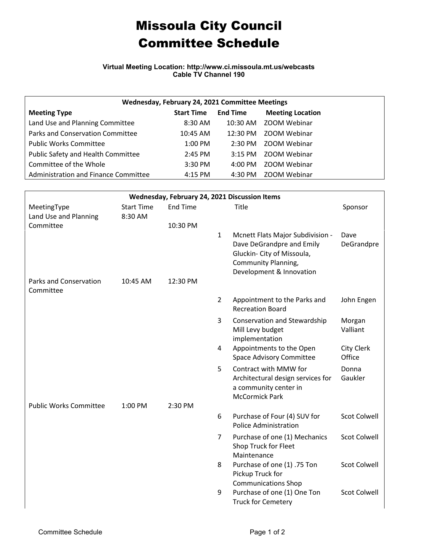## Missoula City Council Committee Schedule

**Virtual Meeting Location: http://www.ci.missoula.mt.us/webcasts Cable TV Channel 190**

| Wednesday, February 24, 2021 Committee Meetings |                   |                    |                         |  |  |  |  |  |
|-------------------------------------------------|-------------------|--------------------|-------------------------|--|--|--|--|--|
| <b>Meeting Type</b>                             | <b>Start Time</b> | <b>End Time</b>    | <b>Meeting Location</b> |  |  |  |  |  |
| Land Use and Planning Committee                 | $8:30$ AM         | $10:30$ AM         | ZOOM Webinar            |  |  |  |  |  |
| Parks and Conservation Committee                | 10:45 AM          | $12:30 \text{ PM}$ | ZOOM Webinar            |  |  |  |  |  |
| <b>Public Works Committee</b>                   | $1:00$ PM         | $2:30$ PM          | ZOOM Webinar            |  |  |  |  |  |
| Public Safety and Health Committee              | $2:45$ PM         | $3:15$ PM          | ZOOM Webinar            |  |  |  |  |  |
| Committee of the Whole                          | $3:30$ PM         | $4:00 \text{ PM}$  | ZOOM Webinar            |  |  |  |  |  |
| Administration and Finance Committee            | $4:15$ PM         | 4:30 PM            | ZOOM Webinar            |  |  |  |  |  |

| Wednesday, February 24, 2021 Discussion Items |                   |                 |                |                                                                                                                                                |                             |  |  |  |  |
|-----------------------------------------------|-------------------|-----------------|----------------|------------------------------------------------------------------------------------------------------------------------------------------------|-----------------------------|--|--|--|--|
| MeetingType                                   | <b>Start Time</b> | <b>End Time</b> |                | Title                                                                                                                                          | Sponsor                     |  |  |  |  |
| Land Use and Planning                         | 8:30 AM           |                 |                |                                                                                                                                                |                             |  |  |  |  |
| Committee                                     |                   | 10:30 PM        |                |                                                                                                                                                |                             |  |  |  |  |
|                                               |                   |                 | $\mathbf{1}$   | Mcnett Flats Major Subdivision -<br>Dave DeGrandpre and Emily<br>Gluckin- City of Missoula,<br>Community Planning,<br>Development & Innovation | Dave<br>DeGrandpre          |  |  |  |  |
| <b>Parks and Conservation</b><br>Committee    | 10:45 AM          | 12:30 PM        |                |                                                                                                                                                |                             |  |  |  |  |
|                                               |                   |                 | $\overline{2}$ | Appointment to the Parks and<br><b>Recreation Board</b>                                                                                        | John Engen                  |  |  |  |  |
|                                               |                   |                 | 3              | Conservation and Stewardship<br>Mill Levy budget<br>implementation                                                                             | Morgan<br>Valliant          |  |  |  |  |
|                                               |                   |                 | 4              | Appointments to the Open<br><b>Space Advisory Committee</b>                                                                                    | <b>City Clerk</b><br>Office |  |  |  |  |
|                                               |                   |                 | 5              | Contract with MMW for<br>Architectural design services for<br>a community center in<br><b>McCormick Park</b>                                   | Donna<br>Gaukler            |  |  |  |  |
| <b>Public Works Committee</b>                 | 1:00 PM           | 2:30 PM         |                |                                                                                                                                                |                             |  |  |  |  |
|                                               |                   |                 | 6              | Purchase of Four (4) SUV for<br><b>Police Administration</b>                                                                                   | <b>Scot Colwell</b>         |  |  |  |  |
|                                               |                   |                 | $\overline{7}$ | Purchase of one (1) Mechanics<br>Shop Truck for Fleet<br>Maintenance                                                                           | <b>Scot Colwell</b>         |  |  |  |  |
|                                               |                   |                 | 8              | Purchase of one (1) .75 Ton<br>Pickup Truck for<br><b>Communications Shop</b>                                                                  | <b>Scot Colwell</b>         |  |  |  |  |
|                                               |                   |                 | 9              | Purchase of one (1) One Ton<br><b>Truck for Cemetery</b>                                                                                       | <b>Scot Colwell</b>         |  |  |  |  |